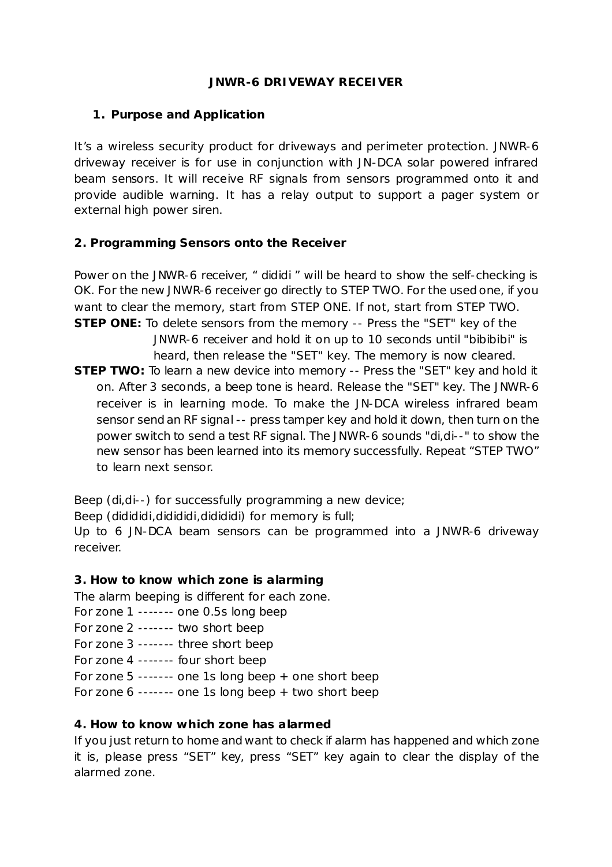### **JNWR-6 DRIVEWAY RECEIVER**

### **1. Purpose and Application**

It's a wireless security product for driveways and perimeter protection. JNWR-6 driveway receiver is for use in conjunction with JN-DCA solar powered infrared beam sensors. It will receive RF signals from sensors programmed onto it and provide audible warning. It has a relay output to support a pager system or external high power siren.

# **2. Programming Sensors onto the Receiver**

Power on the JNWR-6 receiver, " dididi " will be heard to show the self-checking is OK. For the new JNWR-6 receiver go directly to STEP TWO. For the used one, if you want to clear the memory, start from STEP ONE. If not, start from STEP TWO. **STEP ONE:** To delete sensors from the memory -- Press the "SET" key of the JNWR-6 receiver and hold it on up to 10 seconds until "bibibibi" is heard, then release the "SET" key. The memory is now cleared. **STEP TWO:** To learn a new device into memory -- Press the "SET" key and hold it on. After 3 seconds, a beep tone is heard. Release the "SET" key. The JNWR-6 receiver is in learning mode. To make the JN-DCA wireless infrared beam sensor send an RF signal -- press tamper key and hold it down, then turn on the power switch to send a test RF signal. The JNWR-6 sounds "di,di--" to show the new sensor has been learned into its memory successfully. Repeat "STEP TWO" to learn next sensor.

Beep (di,di--) for successfully programming a new device;

Beep (didididi,didididi,didididi) for memory is full;

Up to 6 JN-DCA beam sensors can be programmed into a JNWR-6 driveway receiver.

# **3. How to know which zone is alarming**

The alarm beeping is different for each zone.

- For zone 1 ------- one 0.5s long beep
- For zone 2 ------- two short beep
- For zone 3 ------- three short beep
- For zone 4 ------- four short beep
- For zone 5 ------- one 1s long beep + one short beep
- For zone 6 ------- one 1s long beep + two short beep

# **4. How to know which zone has alarmed**

If you just return to home and want to check if alarm has happened and which zone it is, please press "SET" key, press "SET" key again to clear the display of the alarmed zone.